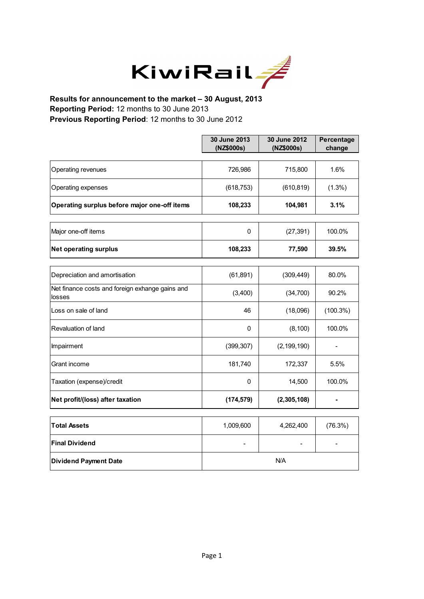

**Results for announcement to the market – 30 August, 2013 Reporting Period:** 12 months to 30 June 2013 **Previous Reporting Period**: 12 months to 30 June 2012

|                                                           | 30 June 2013<br>(NZ\$000s) | 30 June 2012<br>(NZ\$000s) | Percentage<br>change |
|-----------------------------------------------------------|----------------------------|----------------------------|----------------------|
|                                                           |                            |                            |                      |
| Operating revenues                                        | 726,986                    | 715,800                    | 1.6%                 |
| Operating expenses                                        | (618, 753)                 | (610, 819)                 | $(1.3\%)$            |
| Operating surplus before major one-off items              | 108,233                    | 104,981                    | 3.1%                 |
| Major one-off items                                       | 0                          | (27, 391)                  | 100.0%               |
|                                                           |                            |                            |                      |
| <b>Net operating surplus</b>                              | 108,233                    | 77,590                     | 39.5%                |
|                                                           |                            |                            |                      |
| Depreciation and amortisation                             | (61, 891)                  | (309, 449)                 | 80.0%                |
| Net finance costs and foreign exhange gains and<br>losses | (3,400)                    | (34,700)                   | 90.2%                |
| Loss on sale of land                                      | 46                         | (18,096)                   | $(100.3\%)$          |
| Revaluation of land                                       | 0                          | (8, 100)                   | 100.0%               |
| Impairment                                                | (399, 307)                 | (2, 199, 190)              |                      |
| Grant income                                              | 181,740                    | 172,337                    | 5.5%                 |
| Taxation (expense)/credit                                 | 0                          | 14,500                     | 100.0%               |
| Net profit/(loss) after taxation                          | (174, 579)                 | (2,305,108)                |                      |
|                                                           |                            |                            |                      |
| <b>Total Assets</b>                                       | 1,009,600                  | 4,262,400                  | (76.3%)              |
| <b>Final Dividend</b>                                     | $\overline{\phantom{0}}$   |                            |                      |
| <b>Dividend Payment Date</b>                              | N/A                        |                            |                      |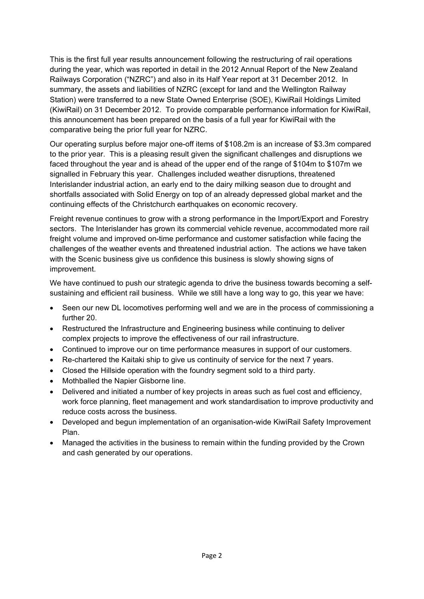This is the first full year results announcement following the restructuring of rail operations during the year, which was reported in detail in the 2012 Annual Report of the New Zealand Railways Corporation ("NZRC") and also in its Half Year report at 31 December 2012. In summary, the assets and liabilities of NZRC (except for land and the Wellington Railway Station) were transferred to a new State Owned Enterprise (SOE), KiwiRail Holdings Limited (KiwiRail) on 31 December 2012. To provide comparable performance information for KiwiRail, this announcement has been prepared on the basis of a full year for KiwiRail with the comparative being the prior full year for NZRC.

Our operating surplus before major one-off items of \$108.2m is an increase of \$3.3m compared to the prior year. This is a pleasing result given the significant challenges and disruptions we faced throughout the year and is ahead of the upper end of the range of \$104m to \$107m we signalled in February this year. Challenges included weather disruptions, threatened Interislander industrial action, an early end to the dairy milking season due to drought and shortfalls associated with Solid Energy on top of an already depressed global market and the continuing effects of the Christchurch earthquakes on economic recovery.

Freight revenue continues to grow with a strong performance in the Import/Export and Forestry sectors. The Interislander has grown its commercial vehicle revenue, accommodated more rail freight volume and improved on-time performance and customer satisfaction while facing the challenges of the weather events and threatened industrial action. The actions we have taken with the Scenic business give us confidence this business is slowly showing signs of improvement.

We have continued to push our strategic agenda to drive the business towards becoming a selfsustaining and efficient rail business. While we still have a long way to go, this year we have:

- Seen our new DL locomotives performing well and we are in the process of commissioning a further 20.
- Restructured the Infrastructure and Engineering business while continuing to deliver complex projects to improve the effectiveness of our rail infrastructure.
- Continued to improve our on time performance measures in support of our customers.
- Re-chartered the Kaitaki ship to give us continuity of service for the next 7 years.
- Closed the Hillside operation with the foundry segment sold to a third party.
- Mothballed the Napier Gisborne line.
- Delivered and initiated a number of key projects in areas such as fuel cost and efficiency, work force planning, fleet management and work standardisation to improve productivity and reduce costs across the business.
- Developed and begun implementation of an organisation-wide KiwiRail Safety Improvement Plan.
- Managed the activities in the business to remain within the funding provided by the Crown and cash generated by our operations.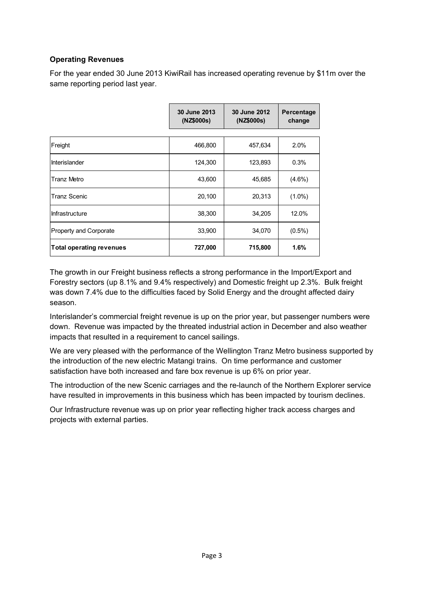## **Operating Revenues**

For the year ended 30 June 2013 KiwiRail has increased operating revenue by \$11m over the same reporting period last year.

|                                 | 30 June 2013<br>(NZ\$000s) | 30 June 2012<br>(NZ\$000s) | Percentage<br>change |
|---------------------------------|----------------------------|----------------------------|----------------------|
|                                 |                            |                            |                      |
| Freight                         | 466,800                    | 457,634                    | 2.0%                 |
| Interislander                   | 124,300                    | 123,893                    | 0.3%                 |
| Tranz Metro                     | 43,600                     | 45,685                     | $(4.6\%)$            |
| <b>Tranz Scenic</b>             | 20,100                     | 20,313                     | $(1.0\%)$            |
| Infrastructure                  | 38,300                     | 34,205                     | 12.0%                |
| <b>Property and Corporate</b>   | 33,900                     | 34,070                     | $(0.5\%)$            |
| <b>Total operating revenues</b> | 727,000                    | 715,800                    | 1.6%                 |

The growth in our Freight business reflects a strong performance in the Import/Export and Forestry sectors (up 8.1% and 9.4% respectively) and Domestic freight up 2.3%. Bulk freight was down 7.4% due to the difficulties faced by Solid Energy and the drought affected dairy season.

Interislander's commercial freight revenue is up on the prior year, but passenger numbers were down. Revenue was impacted by the threated industrial action in December and also weather impacts that resulted in a requirement to cancel sailings.

We are very pleased with the performance of the Wellington Tranz Metro business supported by the introduction of the new electric Matangi trains. On time performance and customer satisfaction have both increased and fare box revenue is up 6% on prior year.

The introduction of the new Scenic carriages and the re-launch of the Northern Explorer service have resulted in improvements in this business which has been impacted by tourism declines.

Our Infrastructure revenue was up on prior year reflecting higher track access charges and projects with external parties.